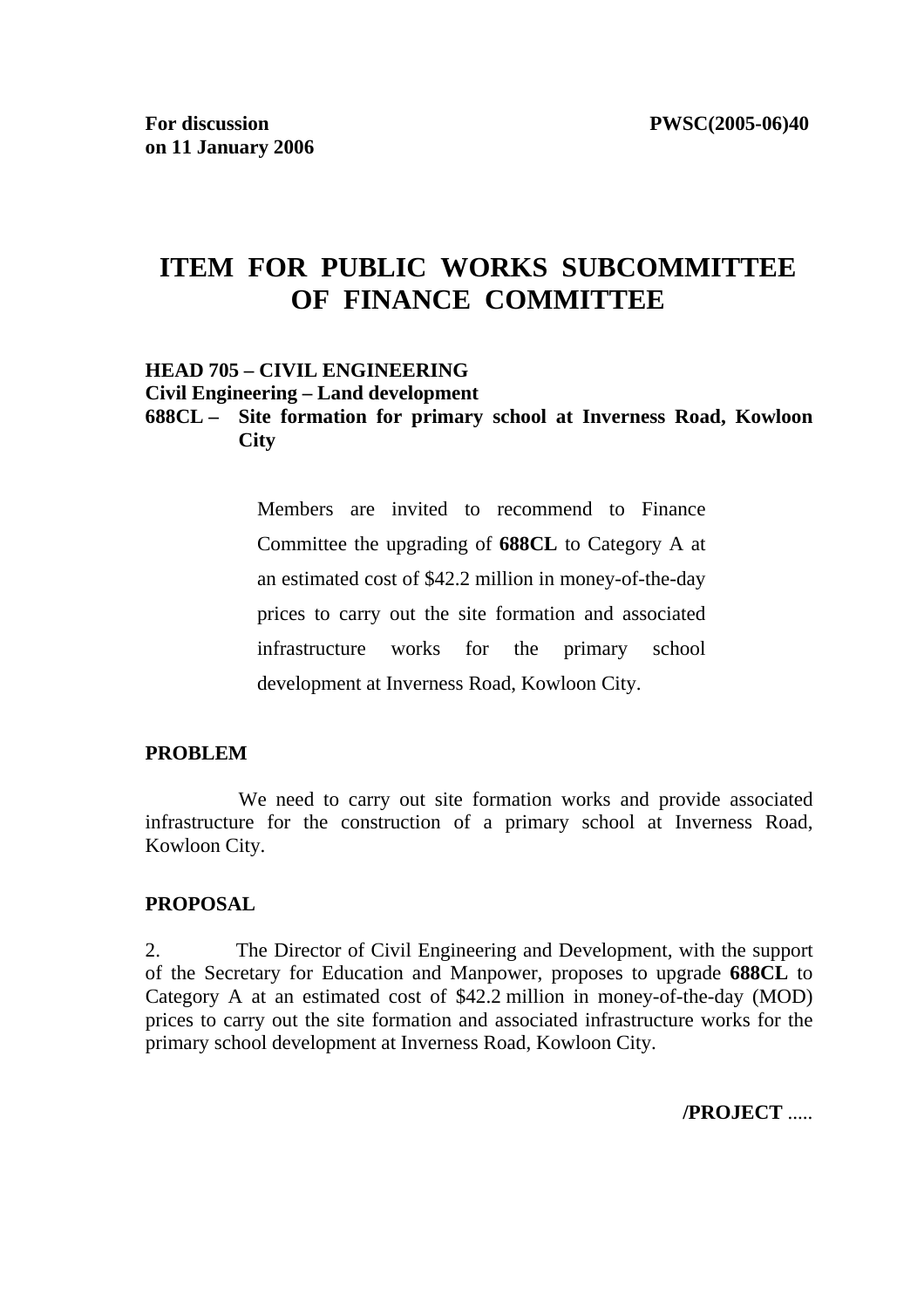# **ITEM FOR PUBLIC WORKS SUBCOMMITTEE OF FINANCE COMMITTEE**

#### **HEAD 705 – CIVIL ENGINEERING**

**Civil Engineering – Land development** 

#### **688CL – Site formation for primary school at Inverness Road, Kowloon City**

Members are invited to recommend to Finance Committee the upgrading of **688CL** to Category A at an estimated cost of \$42.2 million in money-of-the-day prices to carry out the site formation and associated infrastructure works for the primary school development at Inverness Road, Kowloon City.

#### **PROBLEM**

 We need to carry out site formation works and provide associated infrastructure for the construction of a primary school at Inverness Road, Kowloon City.

#### **PROPOSAL**

2. The Director of Civil Engineering and Development, with the support of the Secretary for Education and Manpower, proposes to upgrade **688CL** to Category A at an estimated cost of \$42.2 million in money-of-the-day (MOD) prices to carry out the site formation and associated infrastructure works for the primary school development at Inverness Road, Kowloon City.

**/PROJECT** .....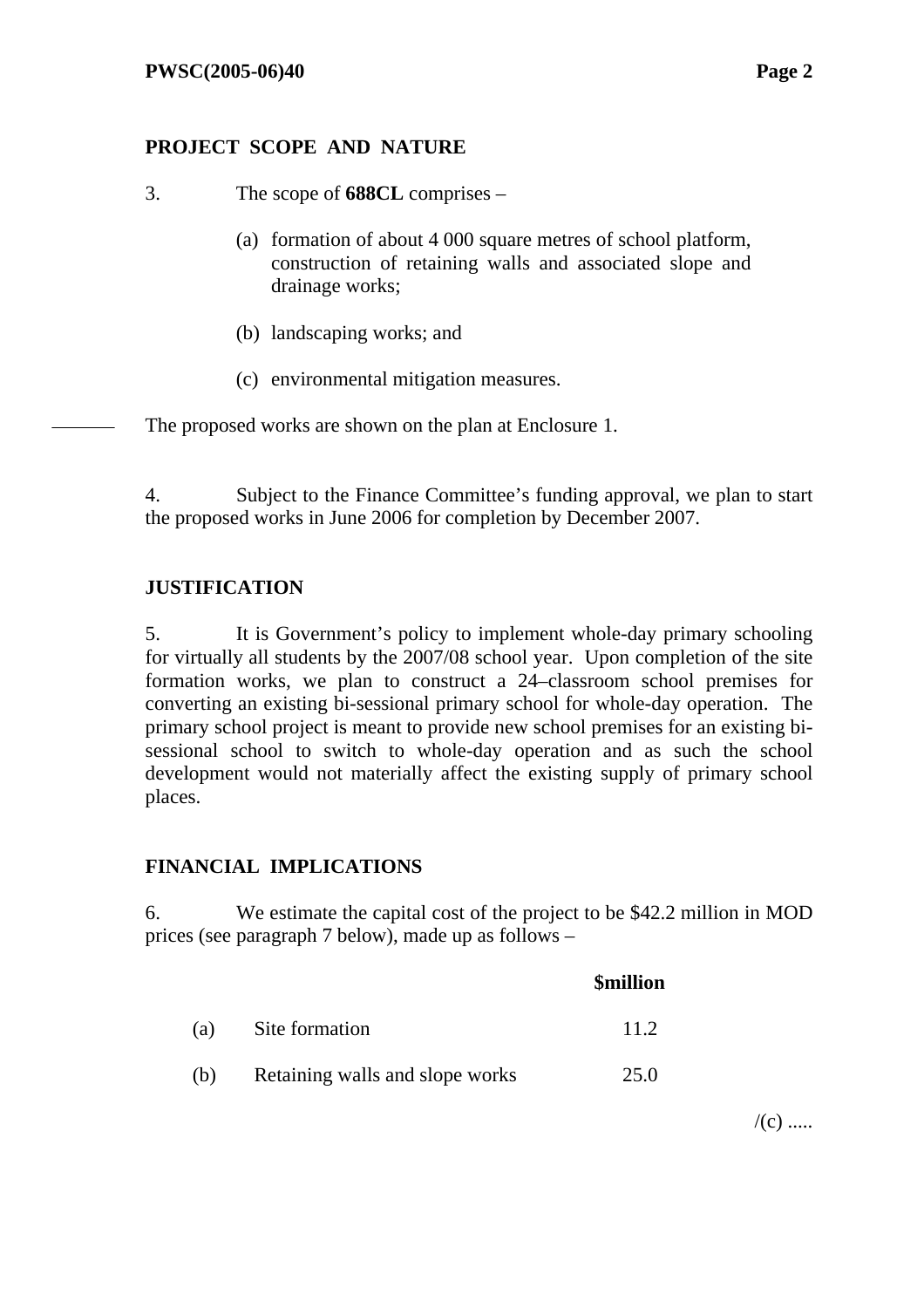## **PROJECT SCOPE AND NATURE**

- 3. The scope of **688CL** comprises
	- (a) formation of about 4 000 square metres of school platform, construction of retaining walls and associated slope and drainage works;
	- (b) landscaping works; and
	- (c) environmental mitigation measures.

The proposed works are shown on the plan at Enclosure 1.

4. Subject to the Finance Committee's funding approval, we plan to start the proposed works in June 2006 for completion by December 2007.

## **JUSTIFICATION**

5. It is Government's policy to implement whole-day primary schooling for virtually all students by the 2007/08 school year. Upon completion of the site formation works, we plan to construct a 24–classroom school premises for converting an existing bi-sessional primary school for whole-day operation. The primary school project is meant to provide new school premises for an existing bisessional school to switch to whole-day operation and as such the school development would not materially affect the existing supply of primary school places.

### **FINANCIAL IMPLICATIONS**

6. We estimate the capital cost of the project to be \$42.2 million in MOD prices (see paragraph 7 below), made up as follows –

|     |                                 | <b>\$million</b> |
|-----|---------------------------------|------------------|
| (a) | Site formation                  | 11.2             |
| (b) | Retaining walls and slope works | 25.0             |

 $/(c)$  .....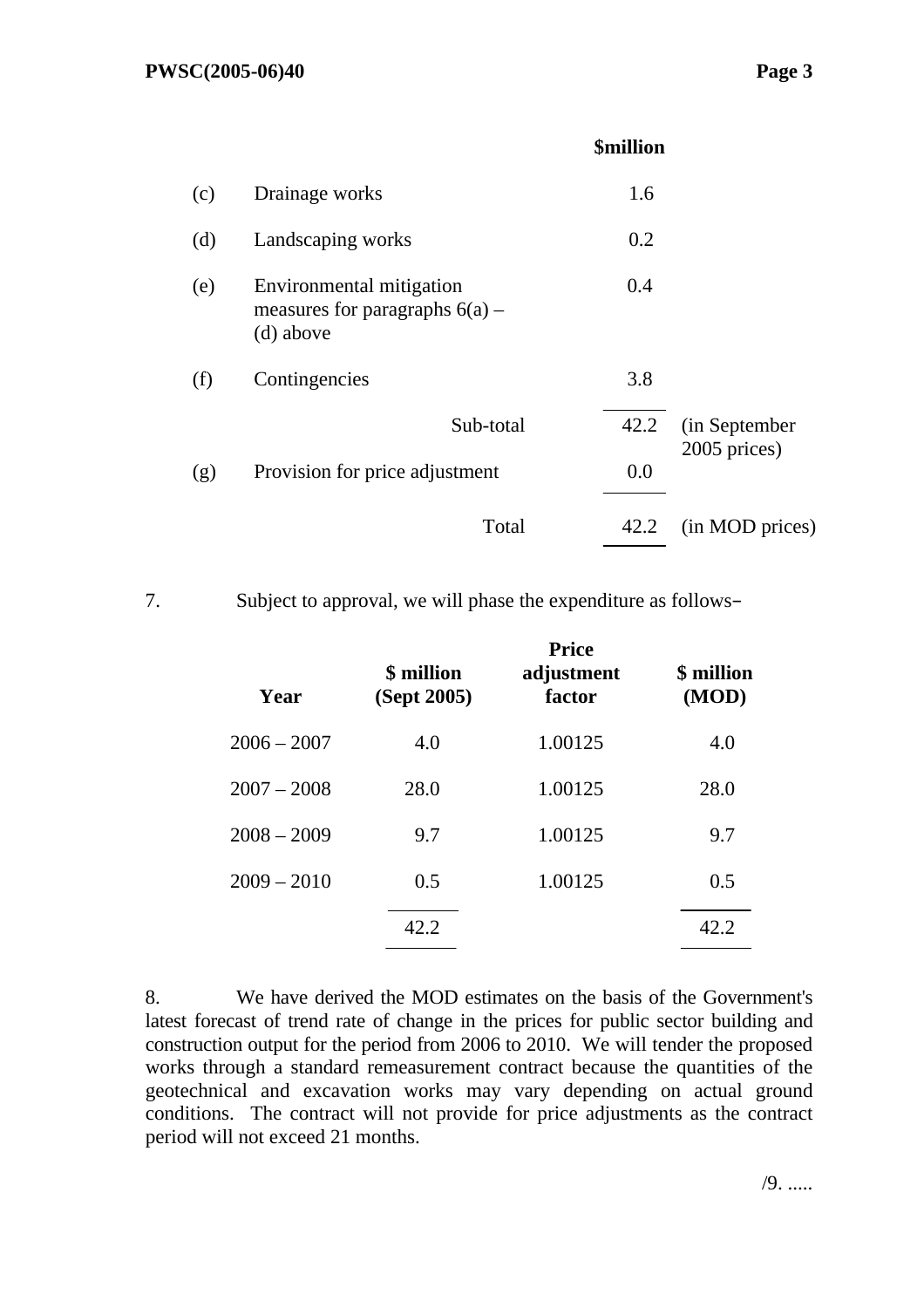|     |                                                                           | <b>\$million</b> |                               |
|-----|---------------------------------------------------------------------------|------------------|-------------------------------|
| (c) | Drainage works                                                            | 1.6              |                               |
| (d) | Landscaping works                                                         | 0.2              |                               |
| (e) | Environmental mitigation<br>measures for paragraphs $6(a)$ –<br>(d) above | 0.4              |                               |
| (f) | Contingencies                                                             | 3.8              |                               |
|     | Sub-total                                                                 | 42.2             | (in September<br>2005 prices) |
| (g) | Provision for price adjustment                                            | 0.0              |                               |
|     | Total                                                                     | 42.2             | (in MOD prices)               |
|     |                                                                           |                  |                               |

7. Subject to approval, we will phase the expenditure as follows–

| Year          | \$ million<br>(Sept 2005) | <b>Price</b><br>adjustment<br>factor | \$ million<br>(MOD) |
|---------------|---------------------------|--------------------------------------|---------------------|
| $2006 - 2007$ | 4.0                       | 1.00125                              | 4.0                 |
| $2007 - 2008$ | 28.0                      | 1.00125                              | 28.0                |
| $2008 - 2009$ | 9.7                       | 1.00125                              | 9.7                 |
| $2009 - 2010$ | 0.5                       | 1.00125                              | 0.5                 |
|               | 42.2                      |                                      | 42.2                |

8. We have derived the MOD estimates on the basis of the Government's latest forecast of trend rate of change in the prices for public sector building and construction output for the period from 2006 to 2010. We will tender the proposed works through a standard remeasurement contract because the quantities of the geotechnical and excavation works may vary depending on actual ground conditions. The contract will not provide for price adjustments as the contract period will not exceed 21 months.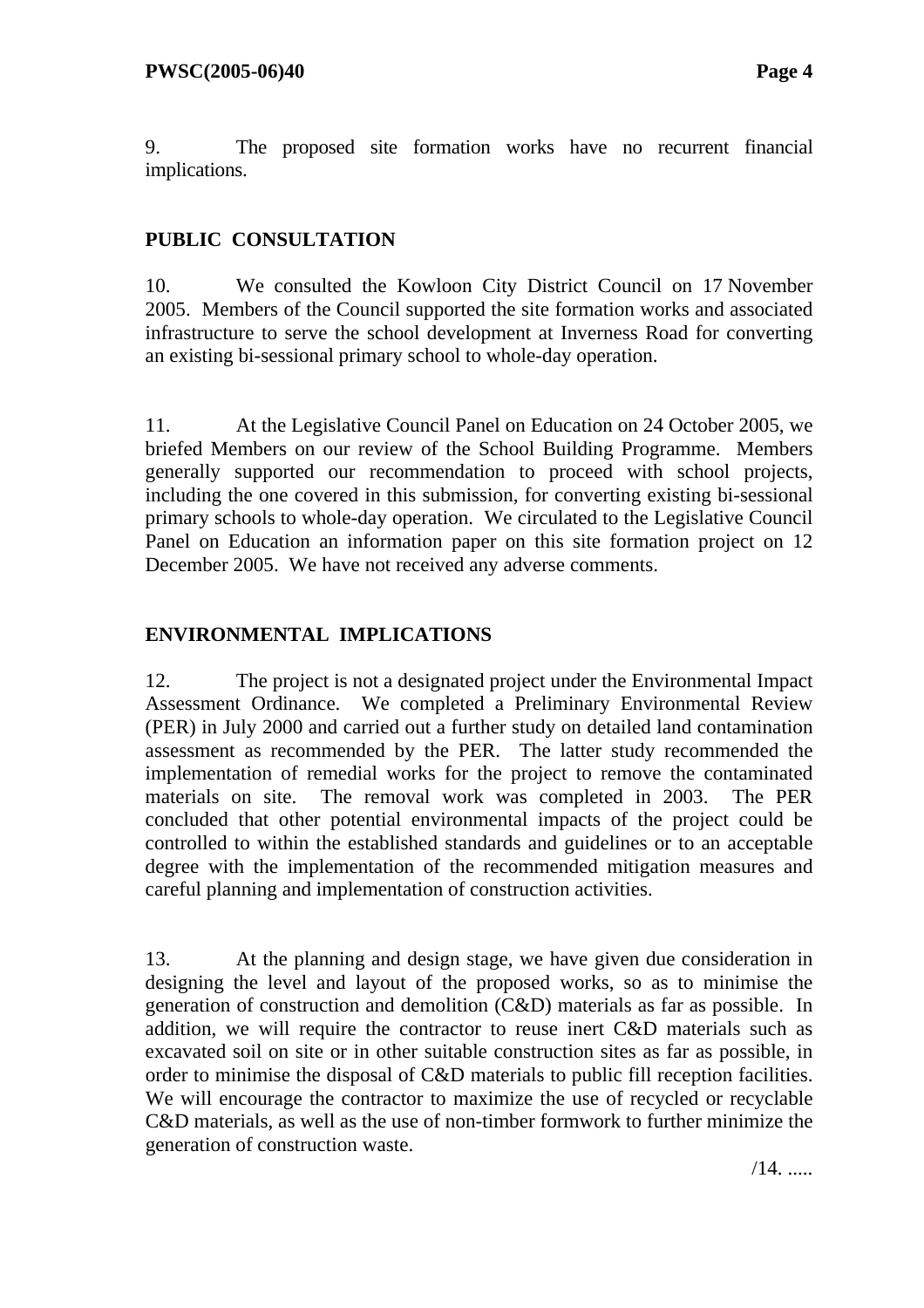9. The proposed site formation works have no recurrent financial implications.

# **PUBLIC CONSULTATION**

10. We consulted the Kowloon City District Council on 17 November 2005. Members of the Council supported the site formation works and associated infrastructure to serve the school development at Inverness Road for converting an existing bi-sessional primary school to whole-day operation.

11. At the Legislative Council Panel on Education on 24 October 2005, we briefed Members on our review of the School Building Programme. Members generally supported our recommendation to proceed with school projects, including the one covered in this submission, for converting existing bi-sessional primary schools to whole-day operation. We circulated to the Legislative Council Panel on Education an information paper on this site formation project on 12 December 2005. We have not received any adverse comments.

## **ENVIRONMENTAL IMPLICATIONS**

12. The project is not a designated project under the Environmental Impact Assessment Ordinance. We completed a Preliminary Environmental Review (PER) in July 2000 and carried out a further study on detailed land contamination assessment as recommended by the PER. The latter study recommended the implementation of remedial works for the project to remove the contaminated materials on site. The removal work was completed in 2003. The PER concluded that other potential environmental impacts of the project could be controlled to within the established standards and guidelines or to an acceptable degree with the implementation of the recommended mitigation measures and careful planning and implementation of construction activities.

13. At the planning and design stage, we have given due consideration in designing the level and layout of the proposed works, so as to minimise the generation of construction and demolition (C&D) materials as far as possible. In addition, we will require the contractor to reuse inert C&D materials such as excavated soil on site or in other suitable construction sites as far as possible, in order to minimise the disposal of C&D materials to public fill reception facilities. We will encourage the contractor to maximize the use of recycled or recyclable C&D materials, as well as the use of non-timber formwork to further minimize the generation of construction waste.

 $/14.$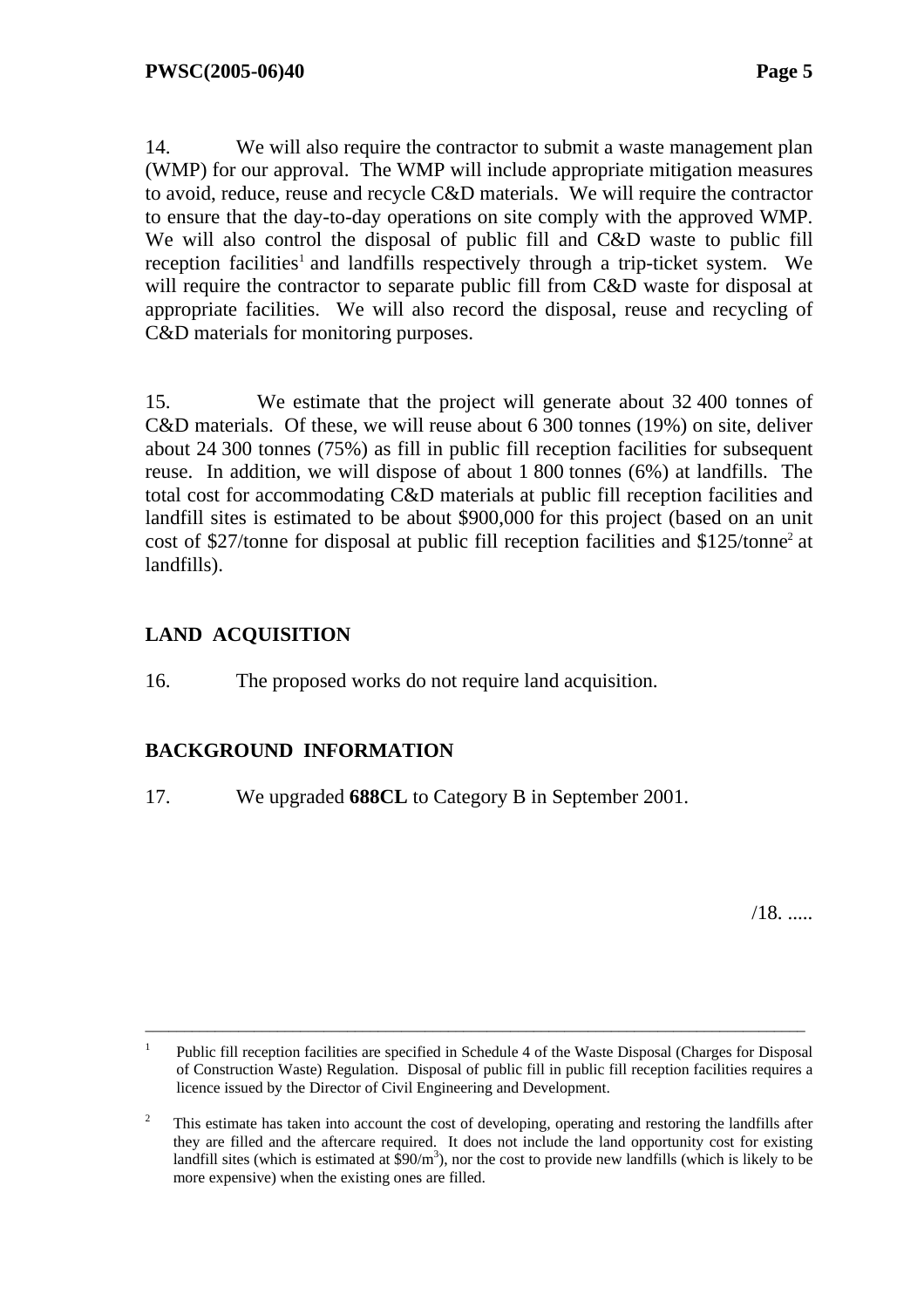14. We will also require the contractor to submit a waste management plan (WMP) for our approval. The WMP will include appropriate mitigation measures to avoid, reduce, reuse and recycle C&D materials. We will require the contractor to ensure that the day-to-day operations on site comply with the approved WMP. We will also control the disposal of public fill and C&D waste to public fill reception facilities<sup>1</sup> and landfills respectively through a trip-ticket system. We will require the contractor to separate public fill from C&D waste for disposal at appropriate facilities. We will also record the disposal, reuse and recycling of C&D materials for monitoring purposes.

15. We estimate that the project will generate about 32 400 tonnes of C&D materials. Of these, we will reuse about 6 300 tonnes (19%) on site, deliver about 24 300 tonnes (75%) as fill in public fill reception facilities for subsequent reuse. In addition, we will dispose of about 1 800 tonnes (6%) at landfills. The total cost for accommodating C&D materials at public fill reception facilities and landfill sites is estimated to be about \$900,000 for this project (based on an unit cost of \$27/tonne for disposal at public fill reception facilities and \$125/tonne<sup>2</sup> at landfills).

# **LAND ACQUISITION**

16. The proposed works do not require land acquisition.

# **BACKGROUND INFORMATION**

17. We upgraded **688CL** to Category B in September 2001.

 $/18$ . .....

\_\_\_\_\_\_\_\_\_\_\_\_\_\_\_\_\_\_\_\_\_\_\_\_\_\_\_\_\_\_\_\_\_\_\_\_\_\_\_\_\_\_\_\_\_\_\_\_\_\_\_\_\_\_\_\_\_\_\_\_\_\_\_\_\_\_\_\_\_\_\_\_\_\_\_\_\_\_\_\_\_\_\_\_\_

<sup>1</sup> Public fill reception facilities are specified in Schedule 4 of the Waste Disposal (Charges for Disposal of Construction Waste) Regulation. Disposal of public fill in public fill reception facilities requires a licence issued by the Director of Civil Engineering and Development.

 $\overline{2}$  This estimate has taken into account the cost of developing, operating and restoring the landfills after they are filled and the aftercare required. It does not include the land opportunity cost for existing landfill sites (which is estimated at  $\sinh^3$ ), nor the cost to provide new landfills (which is likely to be more expensive) when the existing ones are filled.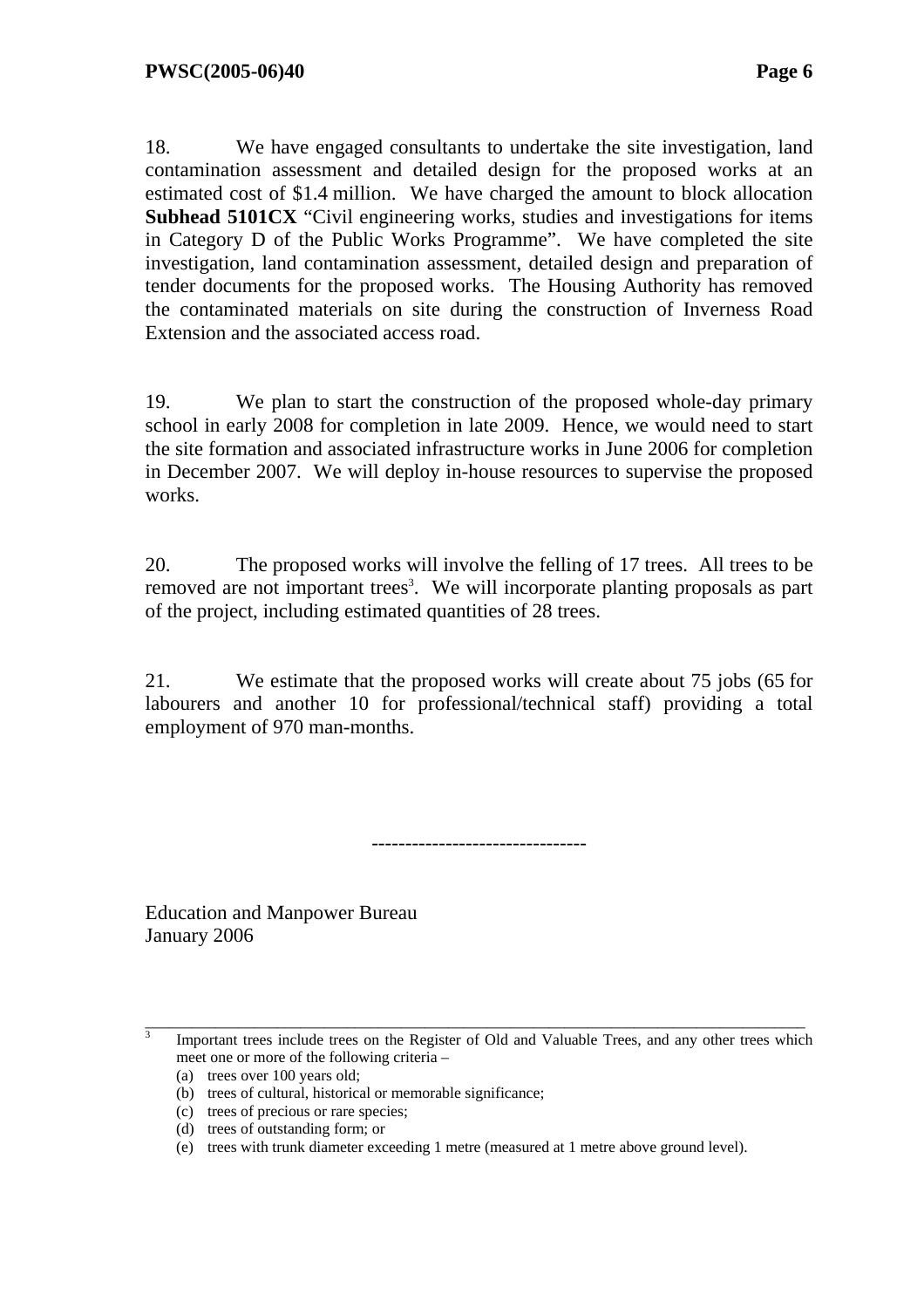18. We have engaged consultants to undertake the site investigation, land contamination assessment and detailed design for the proposed works at an estimated cost of \$1.4 million. We have charged the amount to block allocation **Subhead 5101CX** "Civil engineering works, studies and investigations for items in Category D of the Public Works Programme". We have completed the site investigation, land contamination assessment, detailed design and preparation of tender documents for the proposed works. The Housing Authority has removed the contaminated materials on site during the construction of Inverness Road Extension and the associated access road.

19. We plan to start the construction of the proposed whole-day primary school in early 2008 for completion in late 2009. Hence, we would need to start the site formation and associated infrastructure works in June 2006 for completion in December 2007. We will deploy in-house resources to supervise the proposed works.

20. The proposed works will involve the felling of 17 trees. All trees to be removed are not important trees<sup>3</sup>. We will incorporate planting proposals as part of the project, including estimated quantities of 28 trees.

21. We estimate that the proposed works will create about 75 jobs (65 for labourers and another 10 for professional/technical staff) providing a total employment of 970 man-months.

--------------------------------

Education and Manpower Bureau January 2006

3

\_\_\_\_\_\_\_\_\_\_\_\_\_\_\_\_\_\_\_\_\_\_\_\_\_\_\_\_\_\_\_\_\_\_\_\_\_\_\_\_\_\_\_\_\_\_\_\_\_\_\_\_\_\_\_\_\_\_\_\_\_\_\_\_\_\_\_\_\_\_\_\_\_\_\_\_\_\_\_\_\_\_\_\_\_ Important trees include trees on the Register of Old and Valuable Trees, and any other trees which meet one or more of the following criteria –

<sup>(</sup>a) trees over 100 years old;

<sup>(</sup>b) trees of cultural, historical or memorable significance;

<sup>(</sup>c) trees of precious or rare species;

<sup>(</sup>d) trees of outstanding form; or

<sup>(</sup>e) trees with trunk diameter exceeding 1 metre (measured at 1 metre above ground level).